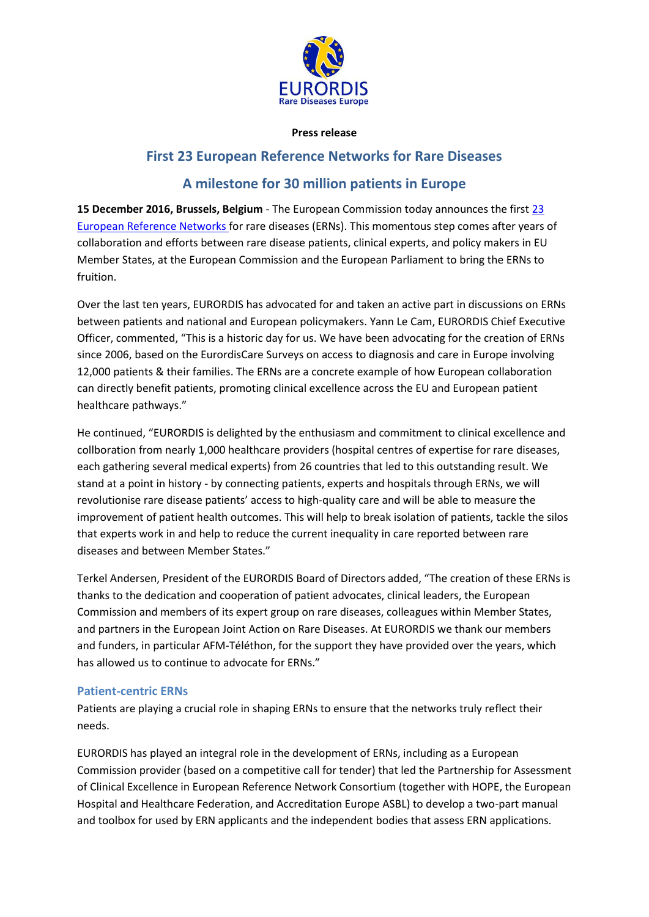

#### **Press release**

# **First 23 European Reference Networks for Rare Diseases**

# **A milestone for 30 million patients in Europe**

**15 December 2016, Brussels, Belgium** - The European Commission today announces the first [23](http://ec.europa.eu/health/ern/implementation/call_en)  [European Reference Networks](http://ec.europa.eu/health/ern/implementation/call_en) for rare diseases (ERNs). This momentous step comes after years of collaboration and efforts between rare disease patients, clinical experts, and policy makers in EU Member States, at the European Commission and the European Parliament to bring the ERNs to fruition.

Over the last ten years, EURORDIS has advocated for and taken an active part in discussions on ERNs between patients and national and European policymakers. Yann Le Cam, EURORDIS Chief Executive Officer, commented, "This is a historic day for us. We have been advocating for the creation of ERNs since 2006, based on the EurordisCare Surveys on access to diagnosis and care in Europe involving 12,000 patients & their families. The ERNs are a concrete example of how European collaboration can directly benefit patients, promoting clinical excellence across the EU and European patient healthcare pathways."

He continued, "EURORDIS is delighted by the enthusiasm and commitment to clinical excellence and collboration from nearly 1,000 healthcare providers (hospital centres of expertise for rare diseases, each gathering several medical experts) from 26 countries that led to this outstanding result. We stand at a point in history - by connecting patients, experts and hospitals through ERNs, we will revolutionise rare disease patients' access to high-quality care and will be able to measure the improvement of patient health outcomes. This will help to break isolation of patients, tackle the silos that experts work in and help to reduce the current inequality in care reported between rare diseases and between Member States."

Terkel Andersen, President of the EURORDIS Board of Directors added, "The creation of these ERNs is thanks to the dedication and cooperation of patient advocates, clinical leaders, the European Commission and members of its expert group on rare diseases, colleagues within Member States, and partners in the European Joint Action on Rare Diseases. At EURORDIS we thank our members and funders, in particular AFM-Téléthon, for the support they have provided over the years, which has allowed us to continue to advocate for ERNs."

#### **Patient-centric ERNs**

Patients are playing a crucial role in shaping ERNs to ensure that the networks truly reflect their needs.

EURORDIS has played an integral role in the development of ERNs, including as a European Commission provider (based on a competitive call for tender) that led the Partnership for Assessment of Clinical Excellence in European Reference Network Consortium (together with HOPE, the European Hospital and Healthcare Federation, and Accreditation Europe ASBL) to develop a two-part manual and toolbox for used by ERN applicants and the independent bodies that assess ERN applications.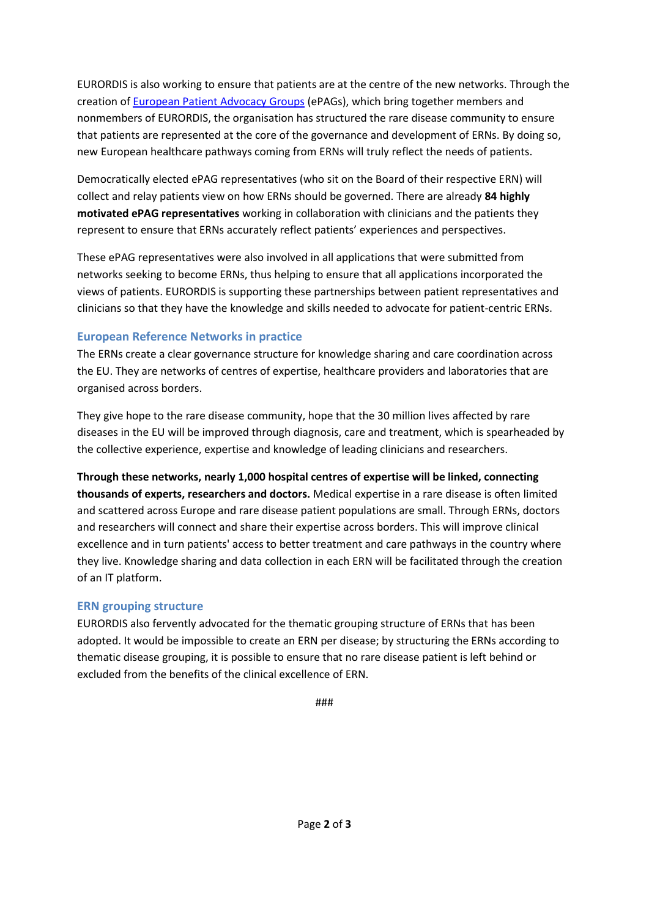EURORDIS is also working to ensure that patients are at the centre of the new networks. Through the creation of **European Patient Advocacy Groups** (ePAGs), which bring together members and nonmembers of EURORDIS, the organisation has structured the rare disease community to ensure that patients are represented at the core of the governance and development of ERNs. By doing so, new European healthcare pathways coming from ERNs will truly reflect the needs of patients.

Democratically elected ePAG representatives (who sit on the Board of their respective ERN) will collect and relay patients view on how ERNs should be governed. There are already **84 highly motivated ePAG representatives** working in collaboration with clinicians and the patients they represent to ensure that ERNs accurately reflect patients' experiences and perspectives.

These ePAG representatives were also involved in all applications that were submitted from networks seeking to become ERNs, thus helping to ensure that all applications incorporated the views of patients. EURORDIS is supporting these partnerships between patient representatives and clinicians so that they have the knowledge and skills needed to advocate for patient-centric ERNs.

# **European Reference Networks in practice**

The ERNs create a clear governance structure for knowledge sharing and care coordination across the EU. They are networks of centres of expertise, healthcare providers and laboratories that are organised across borders.

They give hope to the rare disease community, hope that the 30 million lives affected by rare diseases in the EU will be improved through diagnosis, care and treatment, which is spearheaded by the collective experience, expertise and knowledge of leading clinicians and researchers.

**Through these networks, nearly 1,000 hospital centres of expertise will be linked, connecting thousands of experts, researchers and doctors.** Medical expertise in a rare disease is often limited and scattered across Europe and rare disease patient populations are small. Through ERNs, doctors and researchers will connect and share their expertise across borders. This will improve clinical excellence and in turn patients' access to better treatment and care pathways in the country where they live. Knowledge sharing and data collection in each ERN will be facilitated through the creation of an IT platform.

# **ERN grouping structure**

EURORDIS also fervently advocated for the thematic grouping structure of ERNs that has been adopted. It would be impossible to create an ERN per disease; by structuring the ERNs according to thematic disease grouping, it is possible to ensure that no rare disease patient is left behind or excluded from the benefits of the clinical excellence of ERN.

###